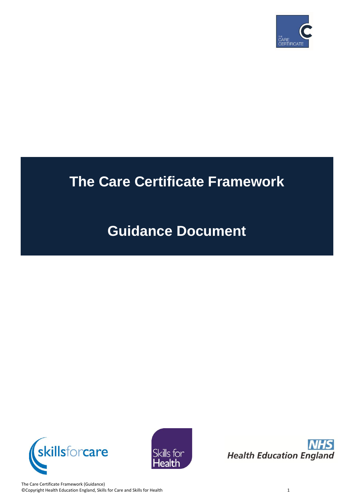

# **The Care Certificate Framework**

# **Guidance Document**







The Care Certificate Framework (Guidance) ©Copyright Health Education England, Skills for Care and Skills for Health 1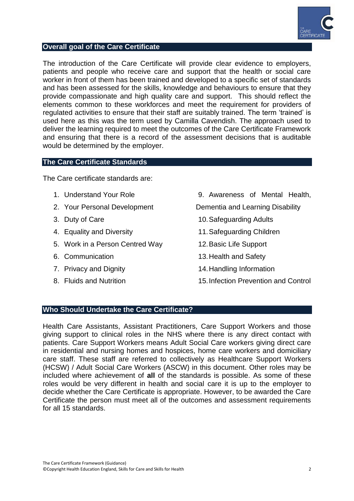

#### **Overall goal of the Care Certificate**

The introduction of the Care Certificate will provide clear evidence to employers, patients and people who receive care and support that the health or social care worker in front of them has been trained and developed to a specific set of standards and has been assessed for the skills, knowledge and behaviours to ensure that they provide compassionate and high quality care and support. This should reflect the elements common to these workforces and meet the requirement for providers of regulated activities to ensure that their staff are suitably trained. The term "trained" is used here as this was the term used by Camilla Cavendish. The approach used to deliver the learning required to meet the outcomes of the Care Certificate Framework and ensuring that there is a record of the assessment decisions that is auditable would be determined by the employer.

## **The Care Certificate Standards**

The Care certificate standards are:

- 1. Understand Your Role
- 2. Your Personal Development
- 3. Duty of Care
- 4. Equality and Diversity
- 5. Work in a Person Centred Way
- 6. Communication
- 7. Privacy and Dignity
- 8. Fluids and Nutrition

9. Awareness of Mental Health,

Dementia and Learning Disability

- 10.Safeguarding Adults
- 11.Safeguarding Children
- 12.Basic Life Support
- 13.Health and Safety
- 14.Handling Information
- 15.Infection Prevention and Control

## **Who Should Undertake the Care Certificate?**

Health Care Assistants, Assistant Practitioners, Care Support Workers and those giving support to clinical roles in the NHS where there is any direct contact with patients. Care Support Workers means Adult Social Care workers giving direct care in residential and nursing homes and hospices, home care workers and domiciliary care staff. These staff are referred to collectively as Healthcare Support Workers (HCSW) / Adult Social Care Workers (ASCW) in this document. Other roles may be included where achievement of **all** of the standards is possible. As some of these roles would be very different in health and social care it is up to the employer to decide whether the Care Certificate is appropriate. However, to be awarded the Care Certificate the person must meet all of the outcomes and assessment requirements for all 15 standards.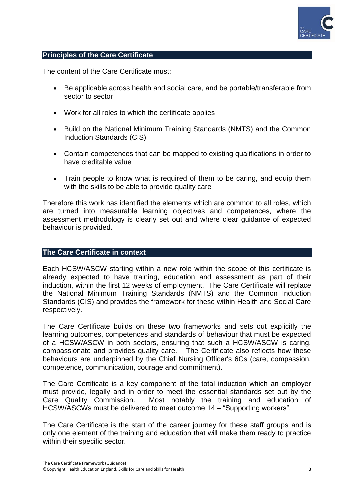

## **Principles of the Care Certificate**

The content of the Care Certificate must:

- Be applicable across health and social care, and be portable/transferable from sector to sector
- Work for all roles to which the certificate applies
- Build on the National Minimum Training Standards (NMTS) and the Common Induction Standards (CIS)
- Contain competences that can be mapped to existing qualifications in order to have creditable value
- Train people to know what is required of them to be caring, and equip them with the skills to be able to provide quality care

Therefore this work has identified the elements which are common to all roles, which are turned into measurable learning objectives and competences, where the assessment methodology is clearly set out and where clear guidance of expected behaviour is provided.

## **The Care Certificate in context**

Each HCSW/ASCW starting within a new role within the scope of this certificate is already expected to have training, education and assessment as part of their induction, within the first 12 weeks of employment. The Care Certificate will replace the National Minimum Training Standards (NMTS) and the Common Induction Standards (CIS) and provides the framework for these within Health and Social Care respectively.

The Care Certificate builds on these two frameworks and sets out explicitly the learning outcomes, competences and standards of behaviour that must be expected of a HCSW/ASCW in both sectors, ensuring that such a HCSW/ASCW is caring, compassionate and provides quality care. The Certificate also reflects how these behaviours are underpinned by the Chief Nursing Officer's 6Cs (care, compassion, competence, communication, courage and commitment).

The Care Certificate is a key component of the total induction which an employer must provide, legally and in order to meet the essential standards set out by the Care Quality Commission. Most notably the training and education of HCSW/ASCWs must be delivered to meet outcome 14 – "Supporting workers".

The Care Certificate is the start of the career journey for these staff groups and is only one element of the training and education that will make them ready to practice within their specific sector.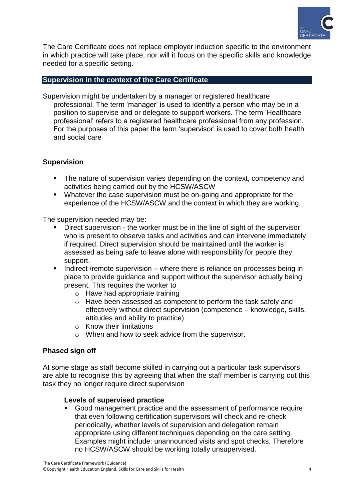

The Care Certificate does not replace employer induction specific to the environment in which practice will take place, nor will it focus on the specific skills and knowledge needed for a specific setting.

# **Supervision in the context of the Care Certificate**

Supervision might be undertaken by a manager or registered healthcare professional. The term "manager" is used to identify a person who may be in a position to supervise and or delegate to support workers. The term "Healthcare professional" refers to a registered healthcare professional from any profession. For the purposes of this paper the term "supervisor" is used to cover both health and social care

## **Supervision**

- The nature of supervision varies depending on the context, competency and activities being carried out by the HCSW/ASCW
- Whatever the case supervision must be on-going and appropriate for the experience of the HCSW/ASCW and the context in which they are working.

The supervision needed may be:

- Direct supervision the worker must be in the line of sight of the supervisor who is present to observe tasks and activities and can intervene immediately if required. Direct supervision should be maintained until the worker is assessed as being safe to leave alone with responsibility for people they support.
- Indirect /remote supervision where there is reliance on processes being in place to provide guidance and support without the supervisor actually being present. This requires the worker to
	- o Have had appropriate training
	- o Have been assessed as competent to perform the task safely and effectively without direct supervision (competence – knowledge, skills, attitudes and ability to practice)
	- o Know their limitations
	- o When and how to seek advice from the supervisor.

## **Phased sign off**

At some stage as staff become skilled in carrying out a particular task supervisors are able to recognise this by agreeing that when the staff member is carrying out this task they no longer require direct supervision

## **Levels of supervised practice**

 Good management practice and the assessment of performance require that even following certification supervisors will check and re-check periodically, whether levels of supervision and delegation remain appropriate using different techniques depending on the care setting. Examples might include: unannounced visits and spot checks. Therefore no HCSW/ASCW should be working totally unsupervised.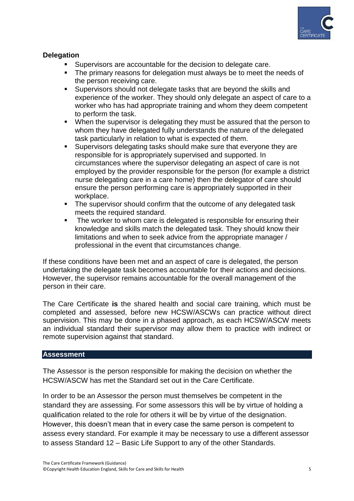

# **Delegation**

- Supervisors are accountable for the decision to delegate care.
- The primary reasons for delegation must always be to meet the needs of the person receiving care.
- Supervisors should not delegate tasks that are beyond the skills and experience of the worker. They should only delegate an aspect of care to a worker who has had appropriate training and whom they deem competent to perform the task.
- When the supervisor is delegating they must be assured that the person to whom they have delegated fully understands the nature of the delegated task particularly in relation to what is expected of them.
- Supervisors delegating tasks should make sure that everyone they are responsible for is appropriately supervised and supported. In circumstances where the supervisor delegating an aspect of care is not employed by the provider responsible for the person (for example a district nurse delegating care in a care home) then the delegator of care should ensure the person performing care is appropriately supported in their workplace.
- The supervisor should confirm that the outcome of any delegated task meets the required standard.
- The worker to whom care is delegated is responsible for ensuring their knowledge and skills match the delegated task. They should know their limitations and when to seek advice from the appropriate manager / professional in the event that circumstances change.

If these conditions have been met and an aspect of care is delegated, the person undertaking the delegate task becomes accountable for their actions and decisions. However, the supervisor remains accountable for the overall management of the person in their care.

The Care Certificate **is** the shared health and social care training, which must be completed and assessed, before new HCSW/ASCWs can practice without direct supervision. This may be done in a phased approach, as each HCSW/ASCW meets an individual standard their supervisor may allow them to practice with indirect or remote supervision against that standard.

## **Assessment**

The Assessor is the person responsible for making the decision on whether the HCSW/ASCW has met the Standard set out in the Care Certificate.

In order to be an Assessor the person must themselves be competent in the standard they are assessing. For some assessors this will be by virtue of holding a qualification related to the role for others it will be by virtue of the designation. However, this doesn"t mean that in every case the same person is competent to assess every standard. For example it may be necessary to use a different assessor to assess Standard 12 – Basic Life Support to any of the other Standards.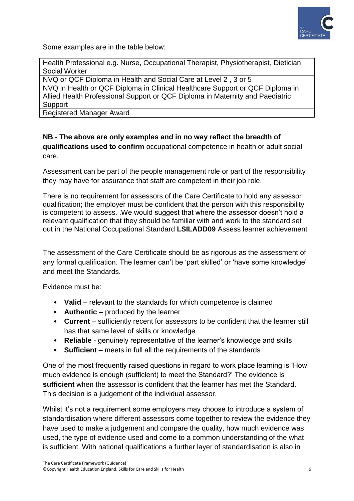

Some examples are in the table below:

Health Professional e.g. Nurse, Occupational Therapist, Physiotherapist, Dietician Social Worker

NVQ or QCF Diploma in Health and Social Care at Level 2 , 3 or 5

NVQ in Health or QCF Diploma in Clinical Healthcare Support or QCF Diploma in Allied Health Professional Support or QCF Diploma in Maternity and Paediatric **Support** 

Registered Manager Award

# **NB - The above are only examples and in no way reflect the breadth of qualifications used to confirm** occupational competence in health or adult social care.

Assessment can be part of the people management role or part of the responsibility they may have for assurance that staff are competent in their job role.

There is no requirement for assessors of the Care Certificate to hold any assessor qualification; the employer must be confident that the person with this responsibility is competent to assess. .We would suggest that where the assessor doesn"t hold a relevant qualification that they should be familiar with and work to the standard set out in the National Occupational Standard **LSILADD09** Assess learner achievement

The assessment of the Care Certificate should be as rigorous as the assessment of any formal qualification. The learner can't be 'part skilled' or 'have some knowledge' and meet the Standards.

Evidence must be:

- **Valid** relevant to the standards for which competence is claimed
- **Authentic** produced by the learner
- **Current** sufficiently recent for assessors to be confident that the learner still has that same level of skills or knowledge
- **Reliable** genuinely representative of the learner"s knowledge and skills
- **Sufficient** meets in full all the requirements of the standards

One of the most frequently raised questions in regard to work place learning is "How much evidence is enough (sufficient) to meet the Standard?" The evidence is **sufficient** when the assessor is confident that the learner has met the Standard. This decision is a judgement of the individual assessor.

Whilst it's not a requirement some employers may choose to introduce a system of standardisation where different assessors come together to review the evidence they have used to make a judgement and compare the quality, how much evidence was used, the type of evidence used and come to a common understanding of the what is sufficient. With national qualifications a further layer of standardisation is also in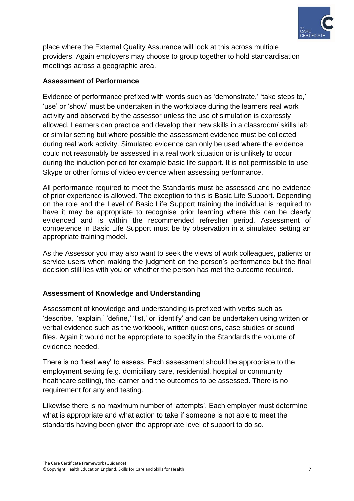

place where the External Quality Assurance will look at this across multiple providers. Again employers may choose to group together to hold standardisation meetings across a geographic area.

# **Assessment of Performance**

Evidence of performance prefixed with words such as 'demonstrate,' 'take steps to,' 'use' or 'show' must be undertaken in the workplace during the learners real work activity and observed by the assessor unless the use of simulation is expressly allowed. Learners can practice and develop their new skills in a classroom/ skills lab or similar setting but where possible the assessment evidence must be collected during real work activity. Simulated evidence can only be used where the evidence could not reasonably be assessed in a real work situation or is unlikely to occur during the induction period for example basic life support. It is not permissible to use Skype or other forms of video evidence when assessing performance.

All performance required to meet the Standards must be assessed and no evidence of prior experience is allowed. The exception to this is Basic Life Support. Depending on the role and the Level of Basic Life Support training the individual is required to have it may be appropriate to recognise prior learning where this can be clearly evidenced and is within the recommended refresher period. Assessment of competence in Basic Life Support must be by observation in a simulated setting an appropriate training model.

As the Assessor you may also want to seek the views of work colleagues, patients or service users when making the judgment on the person's performance but the final decision still lies with you on whether the person has met the outcome required.

# **Assessment of Knowledge and Understanding**

Assessment of knowledge and understanding is prefixed with verbs such as "describe," "explain," "define," "list," or "identify" and can be undertaken using written or verbal evidence such as the workbook, written questions, case studies or sound files. Again it would not be appropriate to specify in the Standards the volume of evidence needed.

There is no "best way" to assess. Each assessment should be appropriate to the employment setting (e.g. domiciliary care, residential, hospital or community healthcare setting), the learner and the outcomes to be assessed. There is no requirement for any end testing.

Likewise there is no maximum number of "attempts". Each employer must determine what is appropriate and what action to take if someone is not able to meet the standards having been given the appropriate level of support to do so.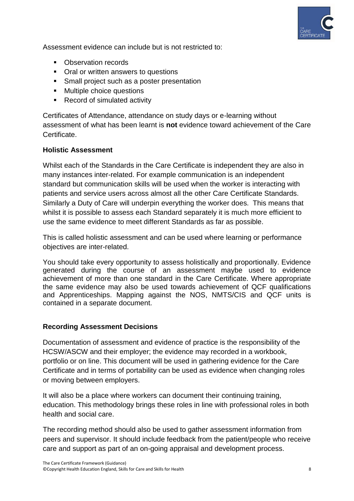

Assessment evidence can include but is not restricted to:

- Observation records
- Oral or written answers to questions
- **Small project such as a poster presentation**
- **Multiple choice questions**
- Record of simulated activity

Certificates of Attendance, attendance on study days or e-learning without assessment of what has been learnt is **not** evidence toward achievement of the Care Certificate.

# **Holistic Assessment**

Whilst each of the Standards in the Care Certificate is independent they are also in many instances inter-related. For example communication is an independent standard but communication skills will be used when the worker is interacting with patients and service users across almost all the other Care Certificate Standards. Similarly a Duty of Care will underpin everything the worker does. This means that whilst it is possible to assess each Standard separately it is much more efficient to use the same evidence to meet different Standards as far as possible.

This is called holistic assessment and can be used where learning or performance objectives are inter-related.

You should take every opportunity to assess holistically and proportionally. Evidence generated during the course of an assessment maybe used to evidence achievement of more than one standard in the Care Certificate. Where appropriate the same evidence may also be used towards achievement of QCF qualifications and Apprenticeships. Mapping against the NOS, NMTS/CIS and QCF units is contained in a separate document.

# **Recording Assessment Decisions**

Documentation of assessment and evidence of practice is the responsibility of the HCSW/ASCW and their employer; the evidence may recorded in a workbook, portfolio or on line. This document will be used in gathering evidence for the Care Certificate and in terms of portability can be used as evidence when changing roles or moving between employers.

It will also be a place where workers can document their continuing training, education. This methodology brings these roles in line with professional roles in both health and social care.

The recording method should also be used to gather assessment information from peers and supervisor. It should include feedback from the patient/people who receive care and support as part of an on-going appraisal and development process.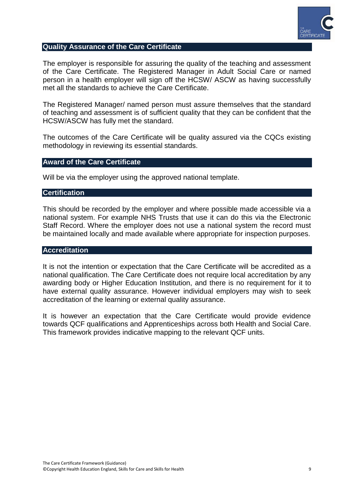

#### **Quality Assurance of the Care Certificate**

The employer is responsible for assuring the quality of the teaching and assessment of the Care Certificate. The Registered Manager in Adult Social Care or named person in a health employer will sign off the HCSW/ ASCW as having successfully met all the standards to achieve the Care Certificate.

The Registered Manager/ named person must assure themselves that the standard of teaching and assessment is of sufficient quality that they can be confident that the HCSW/ASCW has fully met the standard.

The outcomes of the Care Certificate will be quality assured via the CQCs existing methodology in reviewing its essential standards.

## **Award of the Care Certificate**

Will be via the employer using the approved national template.

## **Certification**

This should be recorded by the employer and where possible made accessible via a national system. For example NHS Trusts that use it can do this via the Electronic Staff Record. Where the employer does not use a national system the record must be maintained locally and made available where appropriate for inspection purposes.

#### **Accreditation**

It is not the intention or expectation that the Care Certificate will be accredited as a national qualification. The Care Certificate does not require local accreditation by any awarding body or Higher Education Institution, and there is no requirement for it to have external quality assurance. However individual employers may wish to seek accreditation of the learning or external quality assurance.

It is however an expectation that the Care Certificate would provide evidence towards QCF qualifications and Apprenticeships across both Health and Social Care. This framework provides indicative mapping to the relevant QCF units.